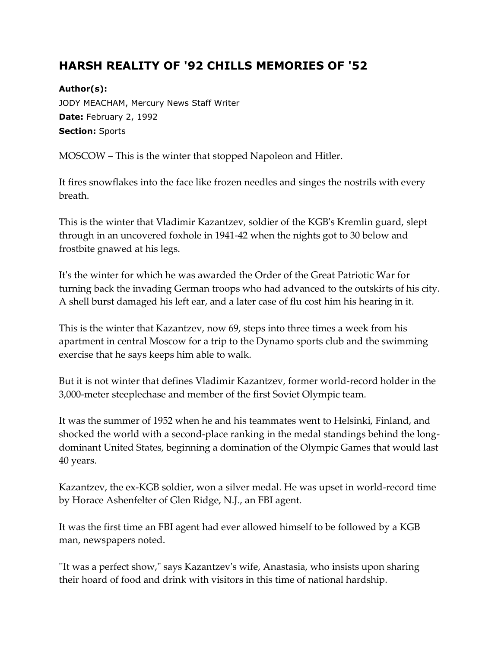## **HARSH REALITY OF '92 CHILLS MEMORIES OF '52**

**Author(s):** JODY MEACHAM, Mercury News Staff Writer **Date:** February 2, 1992 **Section:** Sports

MOSCOW – This is the winter that stopped Napoleon and Hitler.

It fires snowflakes into the face like frozen needles and singes the nostrils with every breath.

This is the winter that Vladimir Kazantzev, soldier of the KGB's Kremlin guard, slept through in an uncovered foxhole in 1941-42 when the nights got to 30 below and frostbite gnawed at his legs.

It's the winter for which he was awarded the Order of the Great Patriotic War for turning back the invading German troops who had advanced to the outskirts of his city. A shell burst damaged his left ear, and a later case of flu cost him his hearing in it.

This is the winter that Kazantzev, now 69, steps into three times a week from his apartment in central Moscow for a trip to the Dynamo sports club and the swimming exercise that he says keeps him able to walk.

But it is not winter that defines Vladimir Kazantzev, former world-record holder in the 3,000-meter steeplechase and member of the first Soviet Olympic team.

It was the summer of 1952 when he and his teammates went to Helsinki, Finland, and shocked the world with a second-place ranking in the medal standings behind the longdominant United States, beginning a domination of the Olympic Games that would last 40 years.

Kazantzev, the ex-KGB soldier, won a silver medal. He was upset in world-record time by Horace Ashenfelter of Glen Ridge, N.J., an FBI agent.

It was the first time an FBI agent had ever allowed himself to be followed by a KGB man, newspapers noted.

''It was a perfect show," says Kazantzev's wife, Anastasia, who insists upon sharing their hoard of food and drink with visitors in this time of national hardship.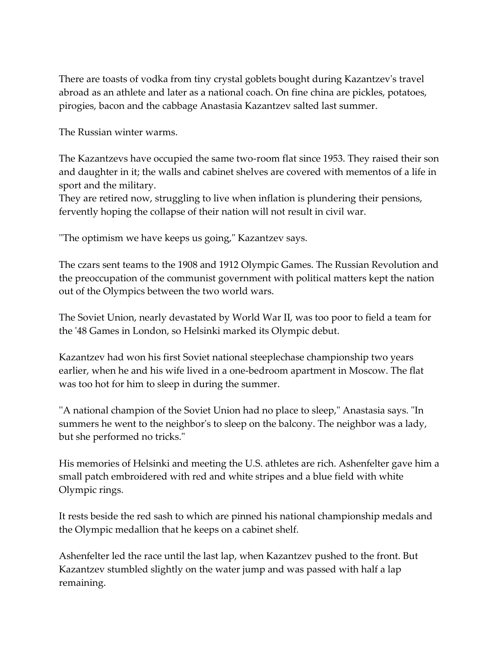There are toasts of vodka from tiny crystal goblets bought during Kazantzev's travel abroad as an athlete and later as a national coach. On fine china are pickles, potatoes, pirogies, bacon and the cabbage Anastasia Kazantzev salted last summer.

The Russian winter warms.

The Kazantzevs have occupied the same two-room flat since 1953. They raised their son and daughter in it; the walls and cabinet shelves are covered with mementos of a life in sport and the military.

They are retired now, struggling to live when inflation is plundering their pensions, fervently hoping the collapse of their nation will not result in civil war.

''The optimism we have keeps us going," Kazantzev says.

The czars sent teams to the 1908 and 1912 Olympic Games. The Russian Revolution and the preoccupation of the communist government with political matters kept the nation out of the Olympics between the two world wars.

The Soviet Union, nearly devastated by World War II, was too poor to field a team for the '48 Games in London, so Helsinki marked its Olympic debut.

Kazantzev had won his first Soviet national steeplechase championship two years earlier, when he and his wife lived in a one-bedroom apartment in Moscow. The flat was too hot for him to sleep in during the summer.

''A national champion of the Soviet Union had no place to sleep," Anastasia says. "In summers he went to the neighbor's to sleep on the balcony. The neighbor was a lady, but she performed no tricks."

His memories of Helsinki and meeting the U.S. athletes are rich. Ashenfelter gave him a small patch embroidered with red and white stripes and a blue field with white Olympic rings.

It rests beside the red sash to which are pinned his national championship medals and the Olympic medallion that he keeps on a cabinet shelf.

Ashenfelter led the race until the last lap, when Kazantzev pushed to the front. But Kazantzev stumbled slightly on the water jump and was passed with half a lap remaining.